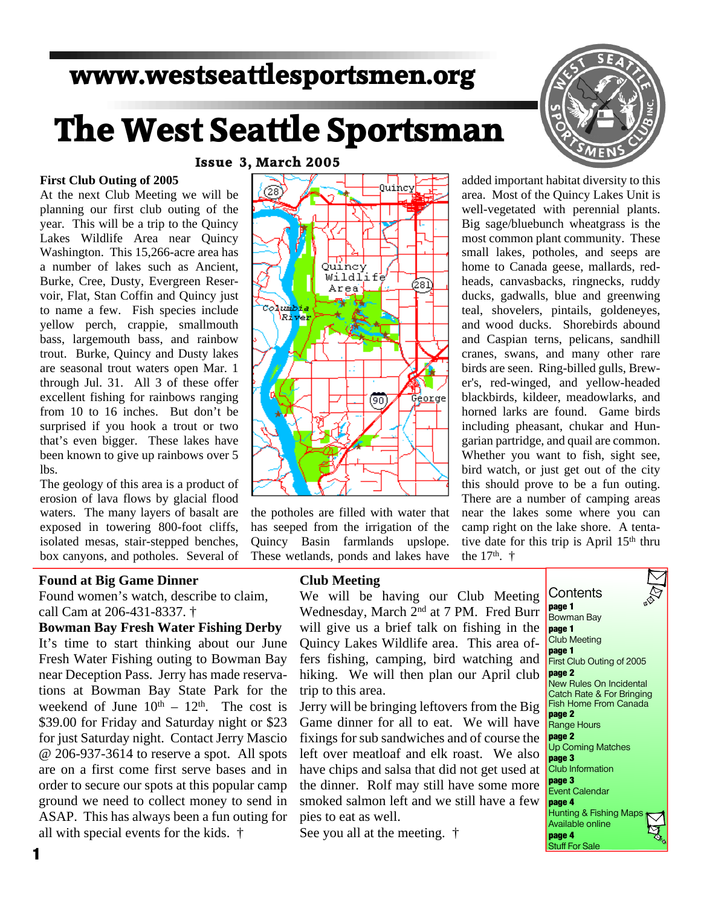### **www.westseattlesportsmen.org**

# **The West Seattle Sportsman**

### **Issue 3, March 2005**

### **First Club Outing of 2005**

At the next Club Meeting we will be planning our first club outing of the year. This will be a trip to the Quincy Lakes Wildlife Area near Quincy Washington. This 15,266-acre area has a number of lakes such as Ancient, Burke, Cree, Dusty, Evergreen Reservoir, Flat, Stan Coffin and Quincy just to name a few. Fish species include yellow perch, crappie, smallmouth bass, largemouth bass, and rainbow trout. Burke, Quincy and Dusty lakes are seasonal trout waters open Mar. 1 through Jul. 31. All 3 of these offer excellent fishing for rainbows ranging from 10 to 16 inches. But don't be surprised if you hook a trout or two that's even bigger. These lakes have been known to give up rainbows over 5 lbs.

The geology of this area is a product of erosion of lava flows by glacial flood waters. The many layers of basalt are exposed in towering 800-foot cliffs, isolated mesas, stair-stepped benches, box canyons, and potholes. Several of

### **Found at Big Game Dinner**

Found women's watch, describe to claim, call Cam at 206-431-8337. †

### **Bowman Bay Fresh Water Fishing Derby**

It's time to start thinking about our June Fresh Water Fishing outing to Bowman Bay near Deception Pass. Jerry has made reservations at Bowman Bay State Park for the weekend of June  $10^{th} - 12^{th}$ . The cost is \$39.00 for Friday and Saturday night or \$23 for just Saturday night. Contact Jerry Mascio @ 206-937-3614 to reserve a spot. All spots are on a first come first serve bases and in order to secure our spots at this popular camp ground we need to collect money to send in ASAP. This has always been a fun outing for all with special events for the kids. †



the potholes are filled with water that has seeped from the irrigation of the Quincy Basin farmlands upslope. These wetlands, ponds and lakes have

added important habitat diversity to this area. Most of the Quincy Lakes Unit is well-vegetated with perennial plants. Big sage/bluebunch wheatgrass is the most common plant community. These small lakes, potholes, and seeps are home to Canada geese, mallards, redheads, canvasbacks, ringnecks, ruddy ducks, gadwalls, blue and greenwing teal, shovelers, pintails, goldeneyes, and wood ducks. Shorebirds abound and Caspian terns, pelicans, sandhill cranes, swans, and many other rare birds are seen. Ring-billed gulls, Brewer's, red-winged, and yellow-headed blackbirds, kildeer, meadowlarks, and horned larks are found. Game birds including pheasant, chukar and Hungarian partridge, and quail are common. Whether you want to fish, sight see, bird watch, or just get out of the city this should prove to be a fun outing. There are a number of camping areas near the lakes some where you can camp right on the lake shore. A tentative date for this trip is April 15<sup>th</sup> thru the  $17^{th}$ . †

#### **Club Meeting**

We will be having our Club Meeting Wednesday, March 2nd at 7 PM. Fred Burr will give us a brief talk on fishing in the Quincy Lakes Wildlife area. This area offers fishing, camping, bird watching and hiking. We will then plan our April club trip to this area.

Jerry will be bringing leftovers from the Big Game dinner for all to eat. We will have fixings for sub sandwiches and of course the left over meatloaf and elk roast. We also have chips and salsa that did not get used at the dinner. Rolf may still have some more smoked salmon left and we still have a few pies to eat as well.

See you all at the meeting. †

**Contents page 1** Bowman Bay **page 1** Club Meeting **page 1** First Club Outing of 2005 **page 2** New Rules On Incidental Catch Rate & For Bringing Fish Home From Canada **page 2** Range Hours **page 2** Up Coming Matches **page 3** Club Information **page 3** Event Calendar **page 4** Hunting & Fishing Maps Available online **page 4** Stuff For Sale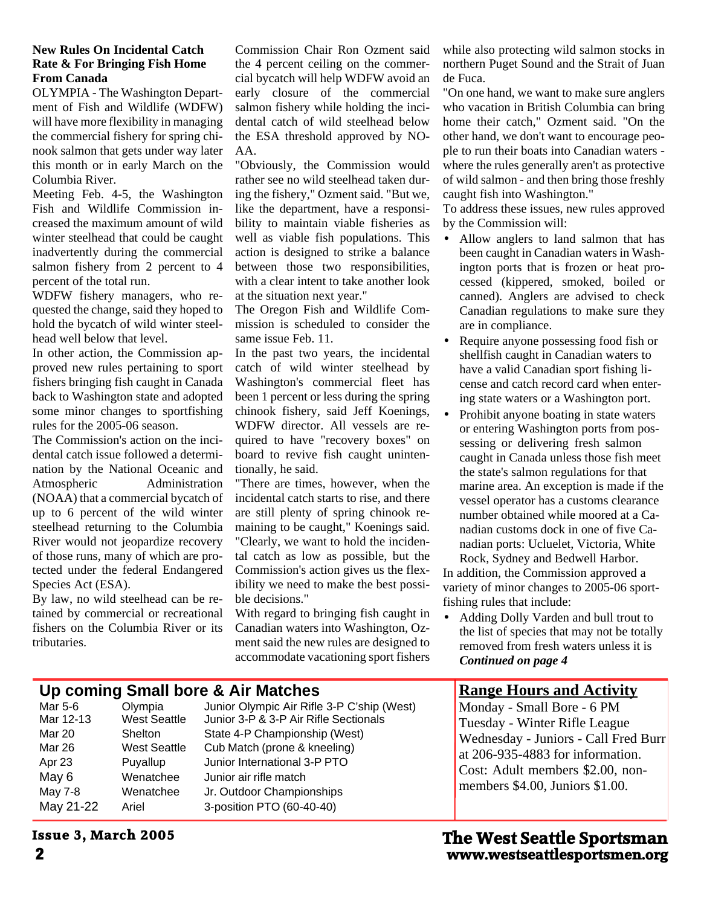### **New Rules On Incidental Catch Rate & For Bringing Fish Home From Canada**

OLYMPIA - The Washington Department of Fish and Wildlife (WDFW) will have more flexibility in managing the commercial fishery for spring chinook salmon that gets under way later this month or in early March on the Columbia River.

Meeting Feb. 4-5, the Washington Fish and Wildlife Commission increased the maximum amount of wild winter steelhead that could be caught inadvertently during the commercial salmon fishery from 2 percent to 4 percent of the total run.

WDFW fishery managers, who requested the change, said they hoped to hold the bycatch of wild winter steelhead well below that level.

In other action, the Commission approved new rules pertaining to sport fishers bringing fish caught in Canada back to Washington state and adopted some minor changes to sportfishing rules for the 2005-06 season.

The Commission's action on the incidental catch issue followed a determination by the National Oceanic and Atmospheric Administration (NOAA) that a commercial bycatch of up to 6 percent of the wild winter steelhead returning to the Columbia River would not jeopardize recovery of those runs, many of which are protected under the federal Endangered Species Act (ESA).

By law, no wild steelhead can be retained by commercial or recreational fishers on the Columbia River or its tributaries.

Commission Chair Ron Ozment said the 4 percent ceiling on the commercial bycatch will help WDFW avoid an early closure of the commercial salmon fishery while holding the incidental catch of wild steelhead below the ESA threshold approved by NO-AA.

"Obviously, the Commission would rather see no wild steelhead taken during the fishery," Ozment said. "But we, like the department, have a responsibility to maintain viable fisheries as well as viable fish populations. This action is designed to strike a balance between those two responsibilities, with a clear intent to take another look at the situation next year."

The Oregon Fish and Wildlife Commission is scheduled to consider the same issue Feb. 11.

In the past two years, the incidental catch of wild winter steelhead by Washington's commercial fleet has been 1 percent or less during the spring chinook fishery, said Jeff Koenings, WDFW director. All vessels are required to have "recovery boxes" on board to revive fish caught unintentionally, he said.

"There are times, however, when the incidental catch starts to rise, and there are still plenty of spring chinook remaining to be caught," Koenings said. "Clearly, we want to hold the incidental catch as low as possible, but the Commission's action gives us the flexibility we need to make the best possible decisions."

With regard to bringing fish caught in Canadian waters into Washington, Ozment said the new rules are designed to accommodate vacationing sport fishers while also protecting wild salmon stocks in northern Puget Sound and the Strait of Juan de Fuca.

"On one hand, we want to make sure anglers who vacation in British Columbia can bring home their catch," Ozment said. "On the other hand, we don't want to encourage people to run their boats into Canadian waters where the rules generally aren't as protective of wild salmon - and then bring those freshly caught fish into Washington."

To address these issues, new rules approved by the Commission will:

 Allow anglers to land salmon that has been caught in Canadian waters in Washington ports that is frozen or heat processed (kippered, smoked, boiled or canned). Anglers are advised to check Canadian regulations to make sure they are in compliance.

 Require anyone possessing food fish or shellfish caught in Canadian waters to have a valid Canadian sport fishing license and catch record card when entering state waters or a Washington port.

 Prohibit anyone boating in state waters or entering Washington ports from possessing or delivering fresh salmon caught in Canada unless those fish meet the state's salmon regulations for that marine area. An exception is made if the vessel operator has a customs clearance number obtained while moored at a Canadian customs dock in one of five Canadian ports: Ucluelet, Victoria, White Rock, Sydney and Bedwell Harbor.

In addition, the Commission approved a variety of minor changes to 2005-06 sportfishing rules that include:

 Adding Dolly Varden and bull trout to the list of species that may not be totally removed from fresh waters unless it is *Continued on page 4*

### **Range Hours and Activity**

Monday - Small Bore - 6 PM Tuesday - Winter Rifle League Wednesday - Juniors - Call Fred Burr at 206-935-4883 for information. Cost: Adult members \$2.00, nonmembers \$4.00, Juniors \$1.00.

## **Up coming Small bore & Air Matches**<br>Mar 5-6 Olympia Junior Olympic Air Rifle

Mar 26 West Seattle Cub Match (prone & kneeling) Apr 23 Puyallup Junior International 3-P PTO May 6 Wenatchee Junior air rifle match May 7-8 Wenatchee Jr. Outdoor Championships May 21-22 Ariel 3-position PTO (60-40-40)

Mar 5-6 <sup>C</sup>Olympia Junior Olympic Air Rifle 3-P C'ship (West)<br>Mar 12-13 West Seattle Junior 3-P & 3-P Air Rifle Sectionals Junior 3-P & 3-P Air Rifle Sectionals Mar 20 Shelton State 4-P Championship (West)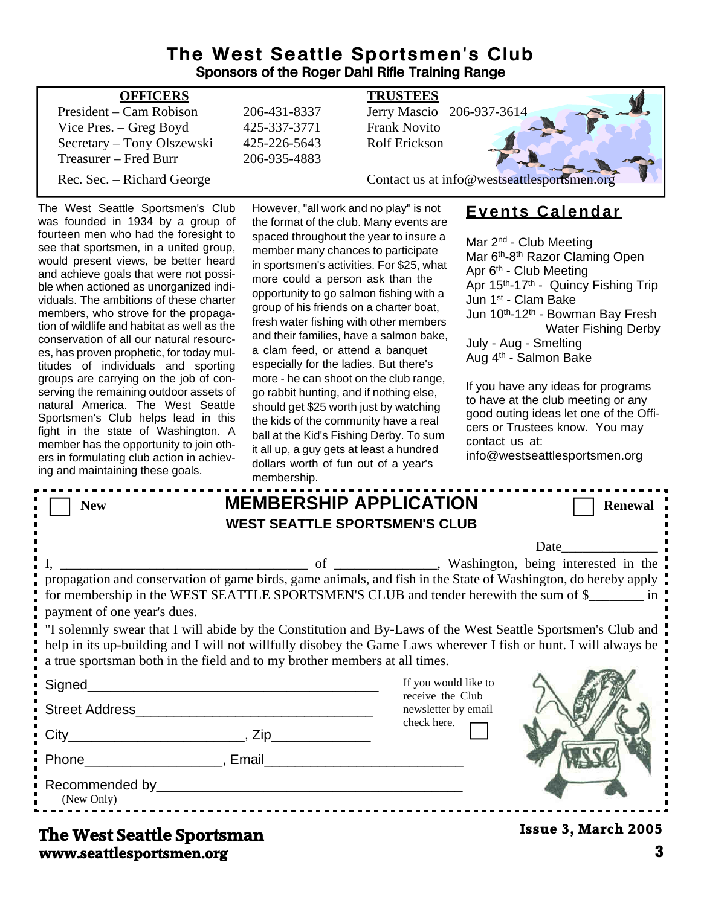### **The West Seattle Sportsmen's Club Sponsors of the Roger Dahl Rifle Training Range**

| <b>OFFICERS</b>            |              | <b>TRUSTEES</b>                             |
|----------------------------|--------------|---------------------------------------------|
| President – Cam Robison    | 206-431-8337 | Jerry Mascio 206-937-3614                   |
| Vice Pres. – Greg Boyd     | 425-337-3771 | <b>Frank Novito</b>                         |
| Secretary – Tony Olszewski | 425-226-5643 | <b>Rolf Erickson</b>                        |
| Treasurer – Fred Burr      | 206-935-4883 |                                             |
| Rec. Sec. – Richard George |              | Contact us at info@westseattlesportsmen.org |
|                            |              |                                             |

The West Seattle Sportsmen's Club was founded in 1934 by a group of fourteen men who had the foresight to see that sportsmen, in a united group, would present views, be better heard and achieve goals that were not possible when actioned as unorganized individuals. The ambitions of these charter members, who strove for the propagation of wildlife and habitat as well as the conservation of all our natural resources, has proven prophetic, for today multitudes of individuals and sporting groups are carrying on the job of conserving the remaining outdoor assets of natural America. The West Seattle Sportsmen's Club helps lead in this fight in the state of Washington. A member has the opportunity to join others in formulating club action in achieving and maintaining these goals.

However, "all work and no play" is not the format of the club. Many events are spaced throughout the year to insure a member many chances to participate in sportsmen's activities. For \$25, what more could a person ask than the opportunity to go salmon fishing with a group of his friends on a charter boat, fresh water fishing with other members and their families, have a salmon bake, a clam feed, or attend a banquet especially for the ladies. But there's more - he can shoot on the club range, go rabbit hunting, and if nothing else, should get \$25 worth just by watching the kids of the community have a real ball at the Kid's Fishing Derby. To sum it all up, a guy gets at least a hundred dollars worth of fun out of a year's membership.

### **Events Calendar**

Mar 2<sup>nd</sup> - Club Meeting Mar 6<sup>th</sup>-8<sup>th</sup> Razor Claming Open Apr 6<sup>th</sup> - Club Meeting Apr 15<sup>th</sup>-17<sup>th</sup> - Quincy Fishing Trip Jun 1st - Clam Bake Jun 10<sup>th</sup>-12<sup>th</sup> - Bowman Bay Fresh Water Fishing Derby July - Aug - Smelting Aug 4th - Salmon Bake

If you have any ideas for programs to have at the club meeting or any good outing ideas let one of the Officers or Trustees know. You may contact us at:

info@westseattlesportsmen.org

| <b>New</b>                                                                                                                                                                                                                                                                                                     |                                                                                                                      | <b>MEMBERSHIP APPLICATION</b><br><b>WEST SEATTLE SPORTSMEN'S CLUB</b> | <b>Renewal</b>             |  |  |
|----------------------------------------------------------------------------------------------------------------------------------------------------------------------------------------------------------------------------------------------------------------------------------------------------------------|----------------------------------------------------------------------------------------------------------------------|-----------------------------------------------------------------------|----------------------------|--|--|
|                                                                                                                                                                                                                                                                                                                |                                                                                                                      |                                                                       | Date                       |  |  |
| propagation and conservation of game birds, game animals, and fish in the State of Washington, do hereby apply<br>for membership in the WEST SEATTLE SPORTSMEN'S CLUB and tender herewith the sum of \$<br>payment of one year's dues.                                                                         |                                                                                                                      |                                                                       |                            |  |  |
| "I solemnly swear that I will abide by the Constitution and By-Laws of the West Seattle Sportsmen's Club and<br>help in its up-building and I will not willfully disobey the Game Laws wherever I fish or hunt. I will always be<br>a true sportsman both in the field and to my brother members at all times. |                                                                                                                      |                                                                       |                            |  |  |
| Signed Signed Signed Signed Signed Signed Signed Signed Signed Signed Signed Signed Signed Signed Signed Signed Signed Signed Signed Signed Signed Signed Signed Signed Signed Signed Signed Signed Signed Signed Signed Signe                                                                                 | <u> 1989 - Johann Barn, mars eta bat erroman erroman erroman erroman erroman erroman erroman erroman erroman err</u> | If you would like to<br>receive the Club                              |                            |  |  |
| Street Address                                                                                                                                                                                                                                                                                                 |                                                                                                                      | newsletter by email                                                   |                            |  |  |
|                                                                                                                                                                                                                                                                                                                |                                                                                                                      | check here.                                                           |                            |  |  |
| Phone Reserves and Phone Reserves and Phone Reserves and Phone Reserves and Phone Reserves and Phone Reserves and Phone Reserves and Phone Reserves and Phone Reserves and Phone Reserves and Phone Reserves and Phone Reserve                                                                                 |                                                                                                                      |                                                                       |                            |  |  |
| (New Only)                                                                                                                                                                                                                                                                                                     |                                                                                                                      |                                                                       |                            |  |  |
| The West Seattle Snortsman                                                                                                                                                                                                                                                                                     |                                                                                                                      |                                                                       | <b>Issue 3, March 2005</b> |  |  |

**www.seattlesportsmen.org 3 The West Seattle Sportsman**